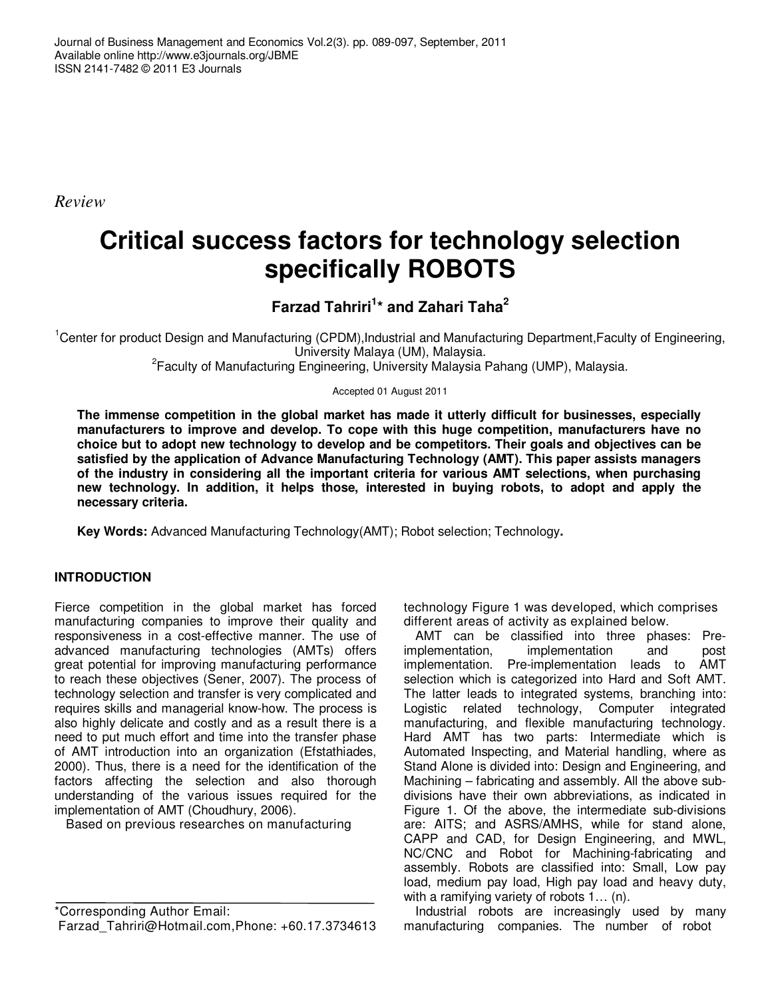Journal of Business Management and Economics Vol.2(3). pp. 089-097, September, 2011 Available online http://www.e3journals.org/JBME ISSN 2141-7482 © 2011 E3 Journals

*Review* 

# **Critical success factors for technology selection specifically ROBOTS**

## **Farzad Tahriri<sup>1</sup> \* and Zahari Taha<sup>2</sup>**

<sup>1</sup>Center for product Design and Manufacturing (CPDM),Industrial and Manufacturing Department,Faculty of Engineering, University Malaya (UM), Malaysia.

<sup>2</sup> Faculty of Manufacturing Engineering, University Malaysia Pahang (UMP), Malaysia.

Accepted 01 August 2011

**The immense competition in the global market has made it utterly difficult for businesses, especially manufacturers to improve and develop. To cope with this huge competition, manufacturers have no choice but to adopt new technology to develop and be competitors. Their goals and objectives can be satisfied by the application of Advance Manufacturing Technology (AMT). This paper assists managers of the industry in considering all the important criteria for various AMT selections, when purchasing new technology. In addition, it helps those, interested in buying robots, to adopt and apply the necessary criteria.** 

**Key Words:** Advanced Manufacturing Technology(AMT); Robot selection; Technology**.** 

### **INTRODUCTION**

Fierce competition in the global market has forced manufacturing companies to improve their quality and responsiveness in a cost-effective manner. The use of advanced manufacturing technologies (AMTs) offers great potential for improving manufacturing performance to reach these objectives (Sener, 2007). The process of technology selection and transfer is very complicated and requires skills and managerial know-how. The process is also highly delicate and costly and as a result there is a need to put much effort and time into the transfer phase of AMT introduction into an organization (Efstathiades, 2000). Thus, there is a need for the identification of the factors affecting the selection and also thorough understanding of the various issues required for the implementation of AMT (Choudhury, 2006).

Based on previous researches on manufacturing

\*Corresponding Author Email: Farzad Tahriri@Hotmail.com,Phone: +60.17.3734613 technology Figure 1 was developed, which comprises different areas of activity as explained below.

AMT can be classified into three phases: Preimplementation, implementation and post implementation. Pre-implementation leads to AMT selection which is categorized into Hard and Soft AMT. The latter leads to integrated systems, branching into: Logistic related technology, Computer integrated manufacturing, and flexible manufacturing technology. Hard AMT has two parts: Intermediate which is Automated Inspecting, and Material handling, where as Stand Alone is divided into: Design and Engineering, and Machining – fabricating and assembly. All the above subdivisions have their own abbreviations, as indicated in Figure 1. Of the above, the intermediate sub-divisions are: AITS; and ASRS/AMHS, while for stand alone, CAPP and CAD, for Design Engineering, and MWL, NC/CNC and Robot for Machining-fabricating and assembly. Robots are classified into: Small, Low pay load, medium pay load, High pay load and heavy duty, with a ramifying variety of robots 1… (n).

Industrial robots are increasingly used by many manufacturing companies. The number of robot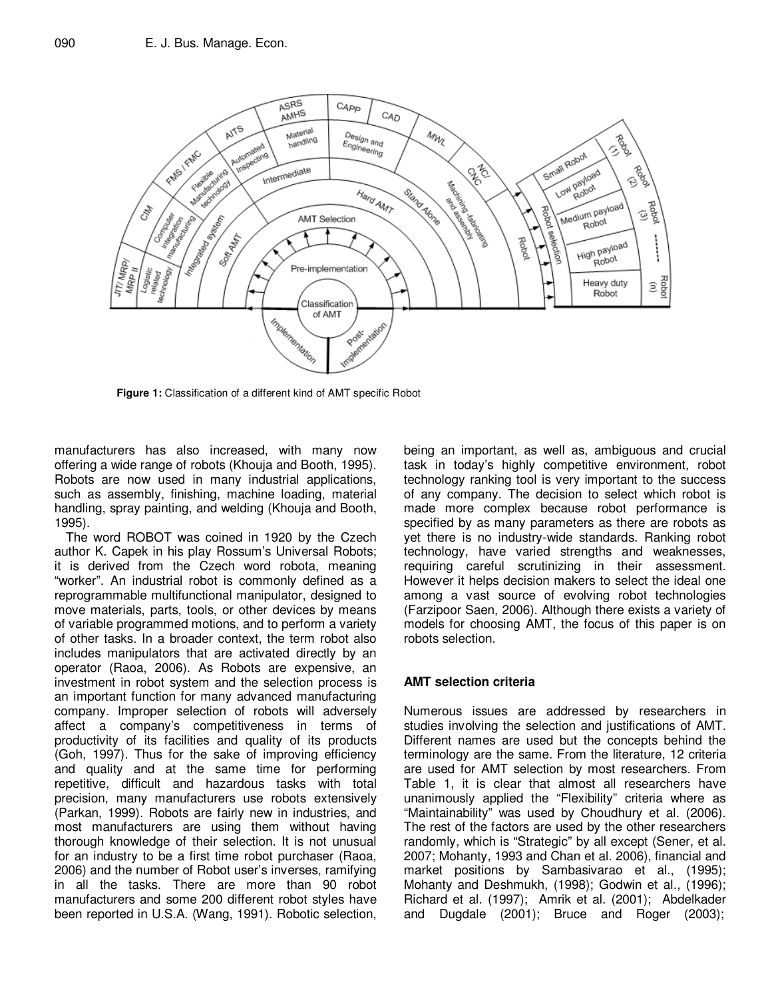

**Figure 1:** Classification of a different kind of AMT specific Robot

manufacturers has also increased, with many now offering a wide range of robots (Khouja and Booth, 1995). Robots are now used in many industrial applications, such as assembly, finishing, machine loading, material handling, spray painting, and welding (Khouja and Booth, 1995).

The word ROBOT was coined in 1920 by the Czech author K. Capek in his play Rossum's Universal Robots; it is derived from the Czech word robota, meaning "worker". An industrial robot is commonly defined as a reprogrammable multifunctional manipulator, designed to move materials, parts, tools, or other devices by means of variable programmed motions, and to perform a variety of other tasks. In a broader context, the term robot also includes manipulators that are activated directly by an operator (Raoa, 2006). As Robots are expensive, an investment in robot system and the selection process is an important function for many advanced manufacturing company. Improper selection of robots will adversely affect a company's competitiveness in terms of productivity of its facilities and quality of its products (Goh, 1997). Thus for the sake of improving efficiency and quality and at the same time for performing repetitive, difficult and hazardous tasks with total precision, many manufacturers use robots extensively (Parkan, 1999). Robots are fairly new in industries, and most manufacturers are using them without having thorough knowledge of their selection. It is not unusual for an industry to be a first time robot purchaser (Raoa, 2006) and the number of Robot user's inverses, ramifying in all the tasks. There are more than 90 robot manufacturers and some 200 different robot styles have been reported in U.S.A. (Wang, 1991). Robotic selection,

being an important, as well as, ambiguous and crucial task in today's highly competitive environment, robot technology ranking tool is very important to the success of any company. The decision to select which robot is made more complex because robot performance is specified by as many parameters as there are robots as yet there is no industry-wide standards. Ranking robot technology, have varied strengths and weaknesses, requiring careful scrutinizing in their assessment. However it helps decision makers to select the ideal one among a vast source of evolving robot technologies (Farzipoor Saen, 2006). Although there exists a variety of models for choosing AMT, the focus of this paper is on robots selection.

#### **AMT selection criteria**

Numerous issues are addressed by researchers in studies involving the selection and justifications of AMT. Different names are used but the concepts behind the terminology are the same. From the literature, 12 criteria are used for AMT selection by most researchers. From Table 1, it is clear that almost all researchers have unanimously applied the "Flexibility" criteria where as "Maintainability" was used by Choudhury et al. (2006). The rest of the factors are used by the other researchers randomly, which is "Strategic" by all except (Sener, et al. 2007; Mohanty, 1993 and Chan et al. 2006), financial and market positions by Sambasivarao et al., (1995); Mohanty and Deshmukh, (1998); Godwin et al., (1996); Richard et al. (1997); Amrik et al. (2001); Abdelkader and Dugdale (2001); Bruce and Roger (2003);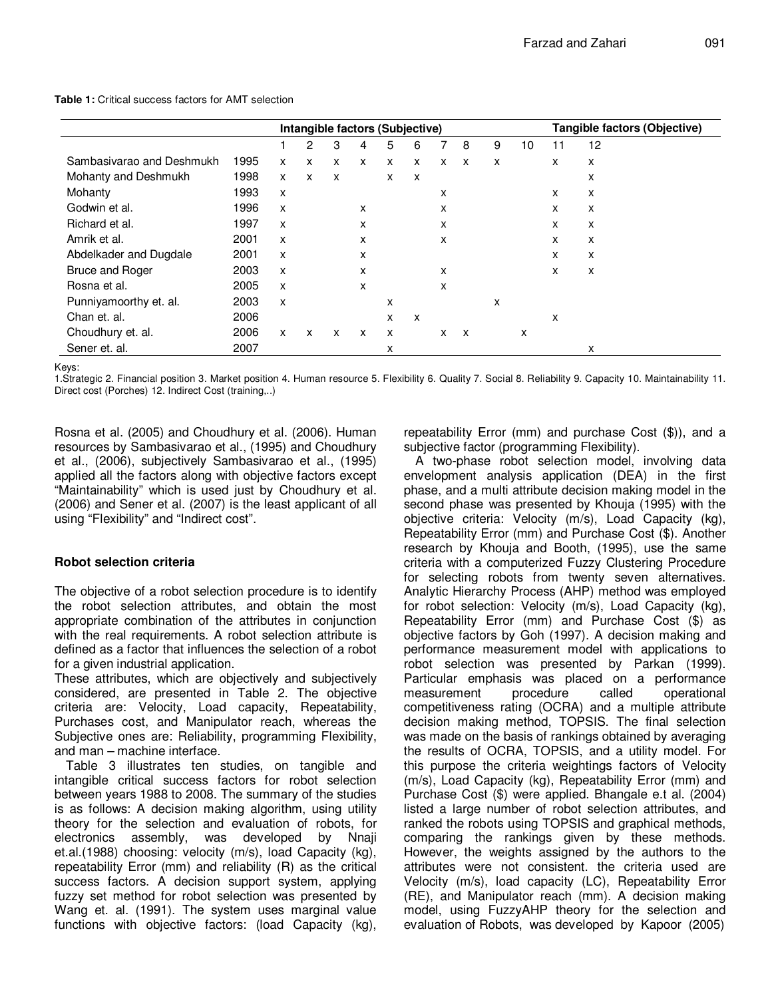|                           |      | Intangible factors (Subjective) |   |              |              |   |              |   | Tangible factors (Objective) |   |    |    |    |
|---------------------------|------|---------------------------------|---|--------------|--------------|---|--------------|---|------------------------------|---|----|----|----|
|                           |      |                                 | 2 | 3            | 4            | 5 | 6            | 7 | 8                            | 9 | 10 | 11 | 12 |
| Sambasivarao and Deshmukh | 1995 | X                               | X | X            | X            | X | $\mathsf{x}$ | X | X                            | X |    | x  | x  |
| Mohanty and Deshmukh      | 1998 | X                               | X | X            |              | X | X            |   |                              |   |    |    | x  |
| Mohanty                   | 1993 | X                               |   |              |              |   |              | x |                              |   |    | x  | x  |
| Godwin et al.             | 1996 | X                               |   |              | X            |   |              | x |                              |   |    | x  | x  |
| Richard et al.            | 1997 | X                               |   |              | X            |   |              | X |                              |   |    | x  | x  |
| Amrik et al.              | 2001 | X                               |   |              | X            |   |              | X |                              |   |    | x  | X  |
| Abdelkader and Dugdale    | 2001 | X                               |   |              | X            |   |              |   |                              |   |    | x  | X  |
| <b>Bruce and Roger</b>    | 2003 | X                               |   |              | X            |   |              | X |                              |   |    | x  | x  |
| Rosna et al.              | 2005 | X                               |   |              | X            |   |              | X |                              |   |    |    |    |
| Punniyamoorthy et. al.    | 2003 | X                               |   |              |              | X |              |   |                              | x |    |    |    |
| Chan et. al.              | 2006 |                                 |   |              |              | x | X            |   |                              |   |    | x  |    |
| Choudhury et. al.         | 2006 | X                               | X | $\mathsf{x}$ | $\mathsf{x}$ | X |              | X | $\mathsf{x}$                 |   | x  |    |    |
| Sener et. al.             | 2007 |                                 |   |              |              | x |              |   |                              |   |    |    | x  |

**Table 1:** Critical success factors for AMT selection

Keys:

1.Strategic 2. Financial position 3. Market position 4. Human resource 5. Flexibility 6. Quality 7. Social 8. Reliability 9. Capacity 10. Maintainability 11. Direct cost (Porches) 12. Indirect Cost (training,..)

Rosna et al. (2005) and Choudhury et al. (2006). Human resources by Sambasivarao et al., (1995) and Choudhury et al., (2006), subjectively Sambasivarao et al., (1995) applied all the factors along with objective factors except "Maintainability" which is used just by Choudhury et al. (2006) and Sener et al. (2007) is the least applicant of all using "Flexibility" and "Indirect cost".

#### **Robot selection criteria**

The objective of a robot selection procedure is to identify the robot selection attributes, and obtain the most appropriate combination of the attributes in conjunction with the real requirements. A robot selection attribute is defined as a factor that influences the selection of a robot for a given industrial application.

These attributes, which are objectively and subjectively considered, are presented in Table 2. The objective criteria are: Velocity, Load capacity, Repeatability, Purchases cost, and Manipulator reach, whereas the Subjective ones are: Reliability, programming Flexibility, and man – machine interface.

Table 3 illustrates ten studies, on tangible and intangible critical success factors for robot selection between years 1988 to 2008. The summary of the studies is as follows: A decision making algorithm, using utility theory for the selection and evaluation of robots, for electronics assembly, was developed by Nnaji et.al.(1988) choosing: velocity (m/s), load Capacity (kg), repeatability Error (mm) and reliability (R) as the critical success factors. A decision support system, applying fuzzy set method for robot selection was presented by Wang et. al. (1991). The system uses marginal value functions with objective factors: (load Capacity (kg), repeatability Error (mm) and purchase Cost (\$)), and a subjective factor (programming Flexibility).

A two-phase robot selection model, involving data envelopment analysis application (DEA) in the first phase, and a multi attribute decision making model in the second phase was presented by Khouja (1995) with the objective criteria: Velocity (m/s), Load Capacity (kg), Repeatability Error (mm) and Purchase Cost (\$). Another research by Khouja and Booth, (1995), use the same criteria with a computerized Fuzzy Clustering Procedure for selecting robots from twenty seven alternatives. Analytic Hierarchy Process (AHP) method was employed for robot selection: Velocity (m/s), Load Capacity (kg), Repeatability Error (mm) and Purchase Cost (\$) as objective factors by Goh (1997). A decision making and performance measurement model with applications to robot selection was presented by Parkan (1999). Particular emphasis was placed on a performance measurement procedure called operational competitiveness rating (OCRA) and a multiple attribute decision making method, TOPSIS. The final selection was made on the basis of rankings obtained by averaging the results of OCRA, TOPSIS, and a utility model. For this purpose the criteria weightings factors of Velocity (m/s), Load Capacity (kg), Repeatability Error (mm) and Purchase Cost (\$) were applied. Bhangale e.t al. (2004) listed a large number of robot selection attributes, and ranked the robots using TOPSIS and graphical methods, comparing the rankings given by these methods. However, the weights assigned by the authors to the attributes were not consistent. the criteria used are Velocity (m/s), load capacity (LC), Repeatability Error (RE), and Manipulator reach (mm). A decision making model, using FuzzyAHP theory for the selection and evaluation of Robots, was developed by Kapoor (2005)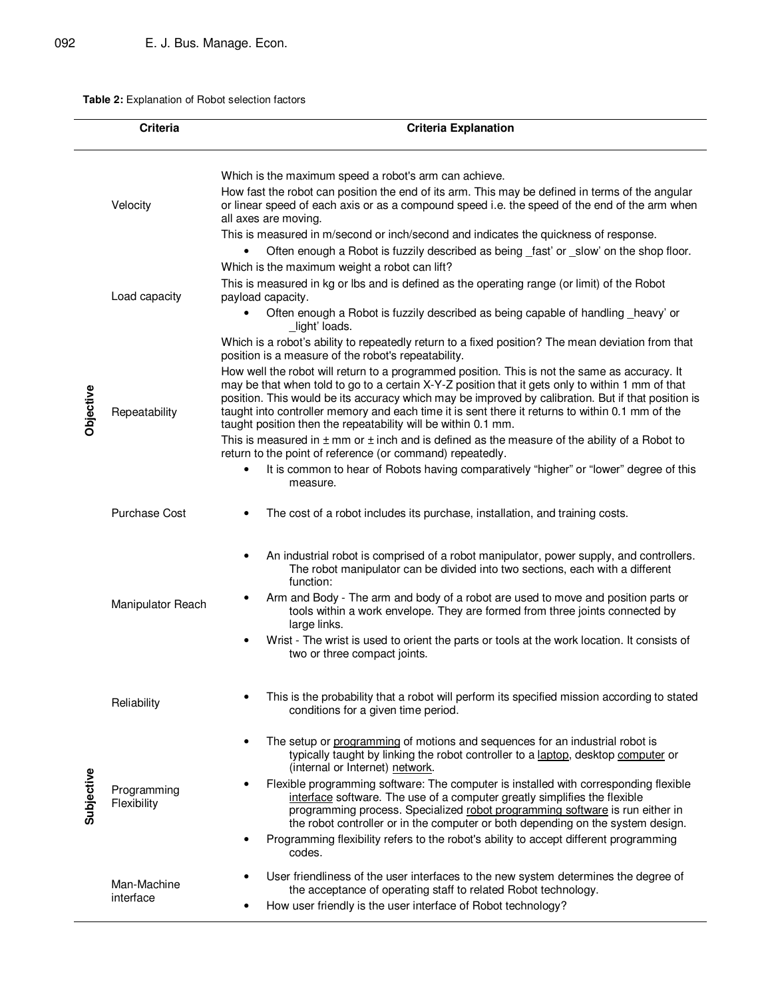**Table 2:** Explanation of Robot selection factors

|            | <b>Criteria</b>                       | <b>Criteria Explanation</b>                                                                                                                                                                                                                                                                                                                                                                                                                                                                                                                                                                                                                                                                                                                                                                                                                                                                                                                                                                                      |
|------------|---------------------------------------|------------------------------------------------------------------------------------------------------------------------------------------------------------------------------------------------------------------------------------------------------------------------------------------------------------------------------------------------------------------------------------------------------------------------------------------------------------------------------------------------------------------------------------------------------------------------------------------------------------------------------------------------------------------------------------------------------------------------------------------------------------------------------------------------------------------------------------------------------------------------------------------------------------------------------------------------------------------------------------------------------------------|
|            | Velocity                              | Which is the maximum speed a robot's arm can achieve.<br>How fast the robot can position the end of its arm. This may be defined in terms of the angular<br>or linear speed of each axis or as a compound speed i.e. the speed of the end of the arm when<br>all axes are moving.<br>This is measured in m/second or inch/second and indicates the quickness of response.<br>Often enough a Robot is fuzzily described as being _fast' or _slow' on the shop floor.<br>$\bullet$                                                                                                                                                                                                                                                                                                                                                                                                                                                                                                                                 |
|            | Load capacity                         | Which is the maximum weight a robot can lift?<br>This is measured in kg or lbs and is defined as the operating range (or limit) of the Robot<br>payload capacity.<br>Often enough a Robot is fuzzily described as being capable of handling _heavy' or<br>light' loads.                                                                                                                                                                                                                                                                                                                                                                                                                                                                                                                                                                                                                                                                                                                                          |
| Objective  | Repeatability<br><b>Purchase Cost</b> | Which is a robot's ability to repeatedly return to a fixed position? The mean deviation from that<br>position is a measure of the robot's repeatability.<br>How well the robot will return to a programmed position. This is not the same as accuracy. It<br>may be that when told to go to a certain X-Y-Z position that it gets only to within 1 mm of that<br>position. This would be its accuracy which may be improved by calibration. But if that position is<br>taught into controller memory and each time it is sent there it returns to within 0.1 mm of the<br>taught position then the repeatability will be within 0.1 mm.<br>This is measured in $\pm$ mm or $\pm$ inch and is defined as the measure of the ability of a Robot to<br>return to the point of reference (or command) repeatedly.<br>It is common to hear of Robots having comparatively "higher" or "lower" degree of this<br>$\bullet$<br>measure.<br>The cost of a robot includes its purchase, installation, and training costs. |
|            | Manipulator Reach                     | An industrial robot is comprised of a robot manipulator, power supply, and controllers.<br>The robot manipulator can be divided into two sections, each with a different<br>function:<br>Arm and Body - The arm and body of a robot are used to move and position parts or<br>tools within a work envelope. They are formed from three joints connected by<br>large links.<br>Wrist - The wrist is used to orient the parts or tools at the work location. It consists of<br>two or three compact joints.                                                                                                                                                                                                                                                                                                                                                                                                                                                                                                        |
|            | Reliability                           | This is the probability that a robot will perform its specified mission according to stated<br>conditions for a given time period.                                                                                                                                                                                                                                                                                                                                                                                                                                                                                                                                                                                                                                                                                                                                                                                                                                                                               |
| Subjective | Programming<br>Flexibility            | The setup or programming of motions and sequences for an industrial robot is<br>typically taught by linking the robot controller to a laptop, desktop computer or<br>(internal or Internet) network.<br>Flexible programming software: The computer is installed with corresponding flexible<br>interface software. The use of a computer greatly simplifies the flexible<br>programming process. Specialized robot programming software is run either in<br>the robot controller or in the computer or both depending on the system design.<br>Programming flexibility refers to the robot's ability to accept different programming<br>codes.                                                                                                                                                                                                                                                                                                                                                                  |
|            | Man-Machine<br>interface              | User friendliness of the user interfaces to the new system determines the degree of<br>the acceptance of operating staff to related Robot technology.<br>How user friendly is the user interface of Robot technology?                                                                                                                                                                                                                                                                                                                                                                                                                                                                                                                                                                                                                                                                                                                                                                                            |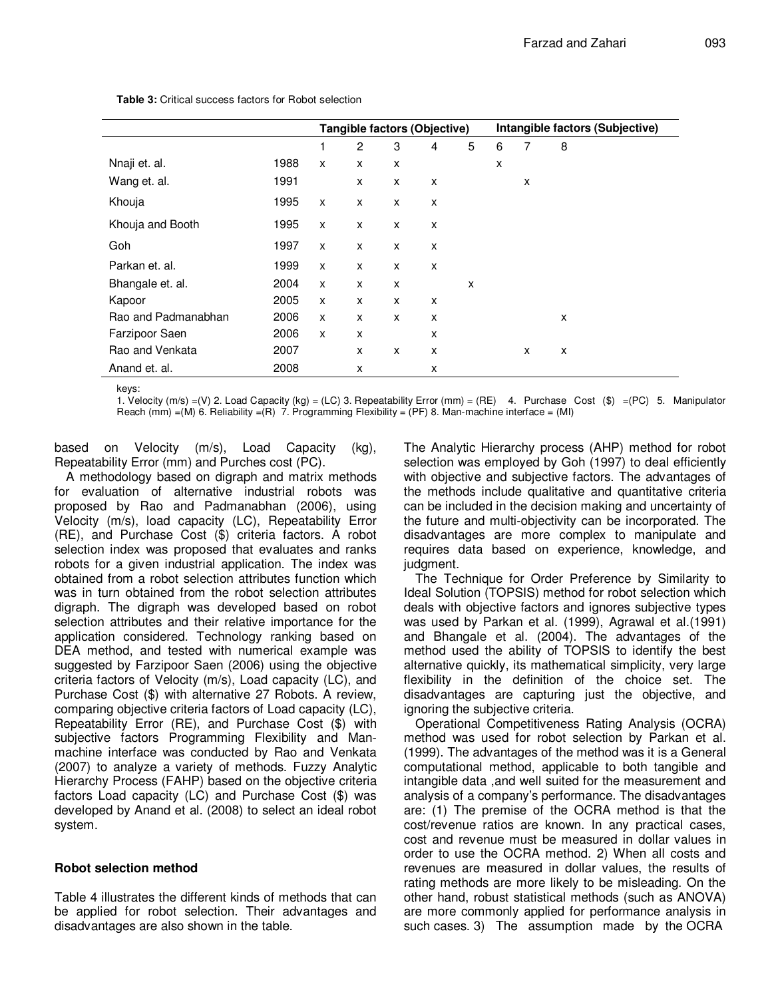|                     |      | Tangible factors (Objective) |                |   |   |   | Intangible factors (Subjective) |   |   |
|---------------------|------|------------------------------|----------------|---|---|---|---------------------------------|---|---|
|                     |      | 1                            | $\overline{2}$ | 3 | 4 | 5 | 6                               | 7 | 8 |
| Nnaji et. al.       | 1988 | X                            | X              | X |   |   | x                               |   |   |
| Wang et. al.        | 1991 |                              | X              | X | X |   |                                 | X |   |
| Khouja              | 1995 | X                            | X              | X | x |   |                                 |   |   |
| Khouja and Booth    | 1995 | X                            | X              | X | X |   |                                 |   |   |
| Goh                 | 1997 | X                            | X              | X | X |   |                                 |   |   |
| Parkan et. al.      | 1999 | X                            | X              | X | X |   |                                 |   |   |
| Bhangale et. al.    | 2004 | X                            | X              | X |   | x |                                 |   |   |
| Kapoor              | 2005 | X                            | X              | X | X |   |                                 |   |   |
| Rao and Padmanabhan | 2006 | X                            | X              | X | x |   |                                 |   | x |
| Farzipoor Saen      | 2006 | X                            | X              |   | X |   |                                 |   |   |
| Rao and Venkata     | 2007 |                              | x              | X | x |   |                                 | X | x |
| Anand et. al.       | 2008 |                              | x              |   | X |   |                                 |   |   |

**Table 3:** Critical success factors for Robot selection

keys:

1. Velocity (m/s) =(V) 2. Load Capacity (kg) = (LC) 3. Repeatability Error (mm) = (RE) 4. Purchase Cost (\$) =(PC) 5. Manipulator Reach (mm) =(M) 6. Reliability =(R) 7. Programming Flexibility = (PF) 8. Man-machine interface = (MI)

based on Velocity (m/s), Load Capacity (kg), Repeatability Error (mm) and Purches cost (PC).

A methodology based on digraph and matrix methods for evaluation of alternative industrial robots was proposed by Rao and Padmanabhan (2006), using Velocity (m/s), load capacity (LC), Repeatability Error (RE), and Purchase Cost (\$) criteria factors. A robot selection index was proposed that evaluates and ranks robots for a given industrial application. The index was obtained from a robot selection attributes function which was in turn obtained from the robot selection attributes digraph. The digraph was developed based on robot selection attributes and their relative importance for the application considered. Technology ranking based on DEA method, and tested with numerical example was suggested by Farzipoor Saen (2006) using the objective criteria factors of Velocity (m/s), Load capacity (LC), and Purchase Cost (\$) with alternative 27 Robots. A review, comparing objective criteria factors of Load capacity (LC), Repeatability Error (RE), and Purchase Cost (\$) with subjective factors Programming Flexibility and Manmachine interface was conducted by Rao and Venkata (2007) to analyze a variety of methods. Fuzzy Analytic Hierarchy Process (FAHP) based on the objective criteria factors Load capacity (LC) and Purchase Cost (\$) was developed by Anand et al. (2008) to select an ideal robot system.

#### **Robot selection method**

Table 4 illustrates the different kinds of methods that can be applied for robot selection. Their advantages and disadvantages are also shown in the table.

The Analytic Hierarchy process (AHP) method for robot selection was employed by Goh (1997) to deal efficiently with objective and subjective factors. The advantages of the methods include qualitative and quantitative criteria can be included in the decision making and uncertainty of the future and multi-objectivity can be incorporated. The disadvantages are more complex to manipulate and requires data based on experience, knowledge, and judgment.

The Technique for Order Preference by Similarity to Ideal Solution (TOPSIS) method for robot selection which deals with objective factors and ignores subjective types was used by Parkan et al. (1999), Agrawal et al.(1991) and Bhangale et al. (2004). The advantages of the method used the ability of TOPSIS to identify the best alternative quickly, its mathematical simplicity, very large flexibility in the definition of the choice set. The disadvantages are capturing just the objective, and ignoring the subjective criteria.

Operational Competitiveness Rating Analysis (OCRA) method was used for robot selection by Parkan et al. (1999). The advantages of the method was it is a General computational method, applicable to both tangible and intangible data ,and well suited for the measurement and analysis of a company's performance. The disadvantages are: (1) The premise of the OCRA method is that the cost/revenue ratios are known. In any practical cases, cost and revenue must be measured in dollar values in order to use the OCRA method. 2) When all costs and revenues are measured in dollar values, the results of rating methods are more likely to be misleading. On the other hand, robust statistical methods (such as ANOVA) are more commonly applied for performance analysis in such cases. 3) The assumption made by the OCRA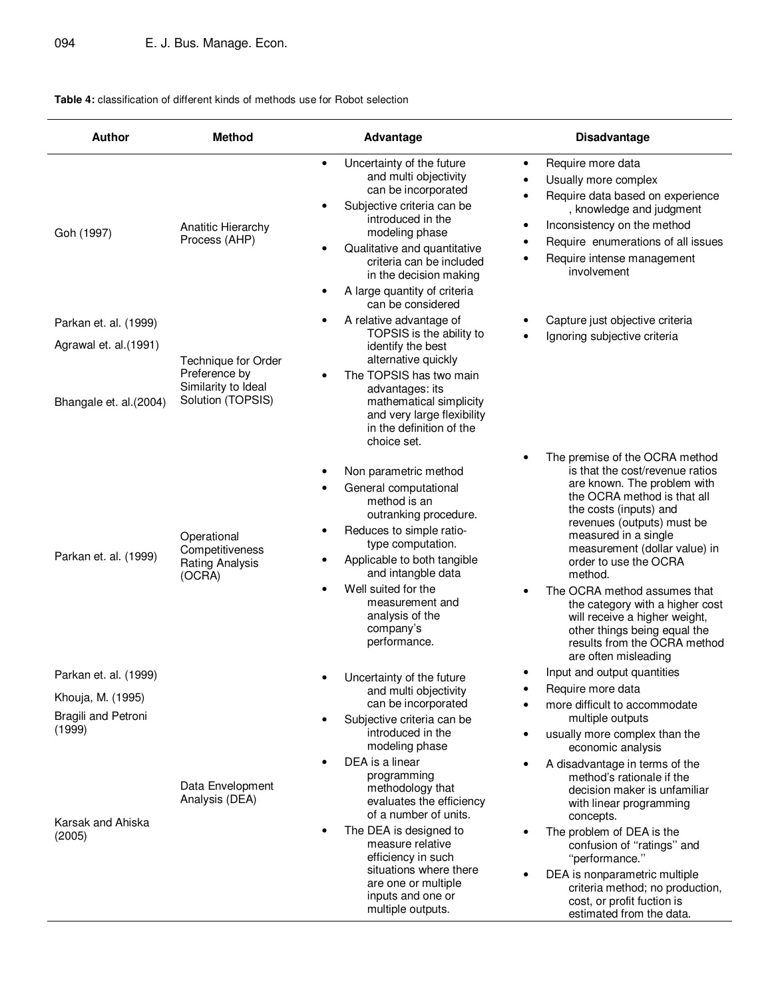#### **Table 4:** classification of different kinds of methods use for Robot selection

| <b>Author</b>                                                               | <b>Method</b>                                                      | <b>Advantage</b>                                                                                                                                                                                                                                                                                       | <b>Disadvantage</b>                                                                                                                                                                                                                                                                                                                                                                                                                                                              |
|-----------------------------------------------------------------------------|--------------------------------------------------------------------|--------------------------------------------------------------------------------------------------------------------------------------------------------------------------------------------------------------------------------------------------------------------------------------------------------|----------------------------------------------------------------------------------------------------------------------------------------------------------------------------------------------------------------------------------------------------------------------------------------------------------------------------------------------------------------------------------------------------------------------------------------------------------------------------------|
| Goh (1997)                                                                  | Anatitic Hierarchy<br>Process (AHP)                                | Uncertainty of the future<br>$\bullet$<br>and multi objectivity<br>can be incorporated<br>Subjective criteria can be<br>introduced in the<br>modeling phase<br>Qualitative and quantitative<br>criteria can be included<br>in the decision making<br>A large quantity of criteria<br>can be considered | Require more data<br>$\bullet$<br>Usually more complex<br>$\bullet$<br>Require data based on experience<br>٠<br>, knowledge and judgment<br>Inconsistency on the method<br>$\bullet$<br>Require enumerations of all issues<br>٠<br>Require intense management<br>involvement                                                                                                                                                                                                     |
| Parkan et. al. (1999)<br>Agrawal et. al.(1991)                              | Technique for Order                                                | A relative advantage of<br>TOPSIS is the ability to<br>identify the best<br>alternative quickly                                                                                                                                                                                                        | Capture just objective criteria<br>Ignoring subjective criteria                                                                                                                                                                                                                                                                                                                                                                                                                  |
| Bhangale et. al.(2004)                                                      | Preference by<br>Similarity to Ideal<br>Solution (TOPSIS)          | The TOPSIS has two main<br>advantages: its<br>mathematical simplicity<br>and very large flexibility<br>in the definition of the<br>choice set.                                                                                                                                                         |                                                                                                                                                                                                                                                                                                                                                                                                                                                                                  |
| Parkan et. al. (1999)                                                       | Operational<br>Competitiveness<br><b>Rating Analysis</b><br>(OCRA) | Non parametric method<br>General computational<br>method is an<br>outranking procedure.<br>Reduces to simple ratio-<br>type computation.<br>Applicable to both tangible<br>and intangble data<br>Well suited for the<br>measurement and<br>analysis of the<br>company's<br>performance.                | The premise of the OCRA method<br>is that the cost/revenue ratios<br>are known. The problem with<br>the OCRA method is that all<br>the costs (inputs) and<br>revenues (outputs) must be<br>measured in a single<br>measurement (dollar value) in<br>order to use the OCRA<br>method.<br>The OCRA method assumes that<br>the category with a higher cost<br>will receive a higher weight,<br>other things being equal the<br>results from the OCRA method<br>are often misleading |
| Parkan et. al. (1999)<br>Khouja, M. (1995)<br>Bragili and Petroni<br>(1999) |                                                                    | Uncertainty of the future<br>and multi objectivity<br>can be incorporated<br>Subjective criteria can be<br>introduced in the<br>modeling phase                                                                                                                                                         | Input and output quantities<br>Require more data<br>more difficult to accommodate<br>multiple outputs<br>usually more complex than the<br>economic analysis                                                                                                                                                                                                                                                                                                                      |
| Karsak and Ahiska<br>(2005)                                                 | Data Envelopment<br>Analysis (DEA)                                 | DEA is a linear<br>programming<br>methodology that<br>evaluates the efficiency<br>of a number of units.<br>The DEA is designed to<br>measure relative<br>efficiency in such<br>situations where there<br>are one or multiple<br>inputs and one or<br>multiple outputs.                                 | A disadvantage in terms of the<br>method's rationale if the<br>decision maker is unfamiliar<br>with linear programming<br>concepts.<br>The problem of DEA is the<br>confusion of "ratings" and<br>"performance."<br>DEA is nonparametric multiple<br>criteria method; no production,<br>cost, or profit fuction is<br>estimated from the data.                                                                                                                                   |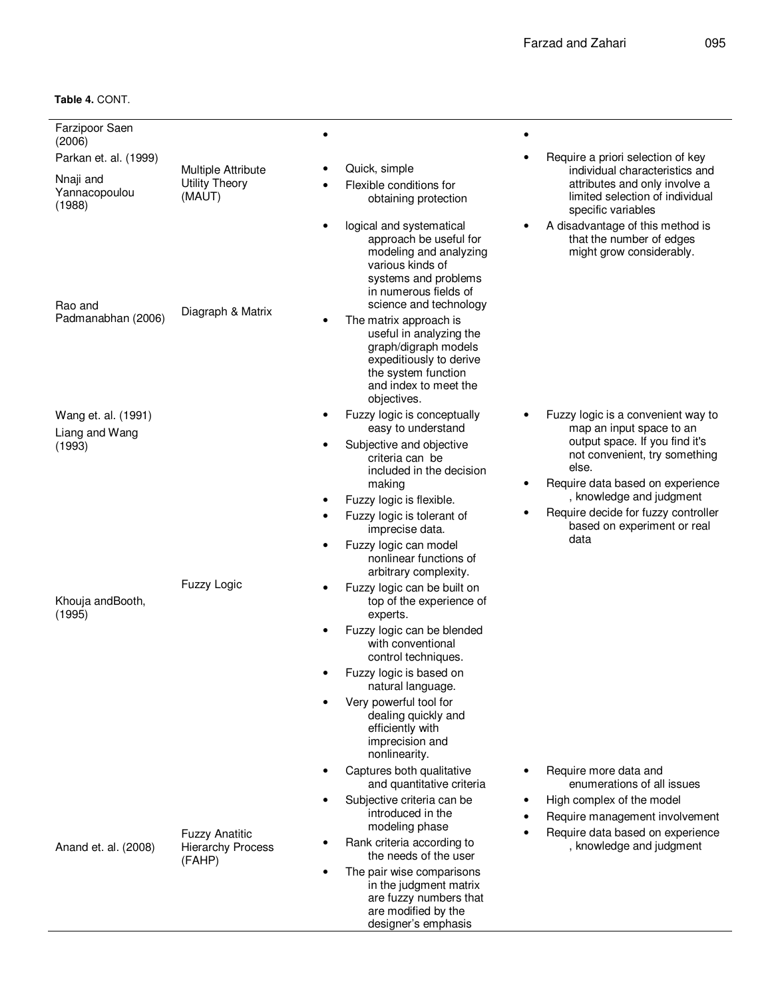| Farzipoor Saen<br>(2006)             |                                                              |                                                                                                                                                                                          |                                                                                                                          |
|--------------------------------------|--------------------------------------------------------------|------------------------------------------------------------------------------------------------------------------------------------------------------------------------------------------|--------------------------------------------------------------------------------------------------------------------------|
| Parkan et. al. (1999)                |                                                              |                                                                                                                                                                                          | Require a priori selection of key                                                                                        |
| Nnaji and<br>Yannacopoulou<br>(1988) | <b>Multiple Attribute</b><br><b>Utility Theory</b><br>(MAUT) | Quick, simple<br>Flexible conditions for<br>obtaining protection                                                                                                                         | individual characteristics and<br>attributes and only involve a<br>limited selection of individual<br>specific variables |
| Rao and                              | Diagraph & Matrix                                            | logical and systematical<br>$\bullet$<br>approach be useful for<br>modeling and analyzing<br>various kinds of<br>systems and problems<br>in numerous fields of<br>science and technology | A disadvantage of this method is<br>٠<br>that the number of edges<br>might grow considerably.                            |
| Padmanabhan (2006)                   |                                                              | The matrix approach is<br>useful in analyzing the<br>graph/digraph models<br>expeditiously to derive<br>the system function<br>and index to meet the<br>objectives.                      |                                                                                                                          |
| Wang et. al. (1991)                  |                                                              | Fuzzy logic is conceptually<br>easy to understand                                                                                                                                        | Fuzzy logic is a convenient way to<br>map an input space to an                                                           |
| Liang and Wang<br>(1993)             |                                                              | Subjective and objective                                                                                                                                                                 | output space. If you find it's                                                                                           |
|                                      |                                                              | criteria can be<br>included in the decision<br>making                                                                                                                                    | not convenient, try something<br>else.<br>Require data based on experience<br>٠                                          |
|                                      |                                                              | Fuzzy logic is flexible.<br>$\bullet$                                                                                                                                                    | , knowledge and judgment                                                                                                 |
|                                      |                                                              | Fuzzy logic is tolerant of<br>٠<br>imprecise data.                                                                                                                                       | Require decide for fuzzy controller<br>٠<br>based on experiment or real                                                  |
|                                      |                                                              | Fuzzy logic can model<br>$\bullet$<br>nonlinear functions of<br>arbitrary complexity.                                                                                                    | data                                                                                                                     |
| Khouja andBooth,<br>(1995)           | <b>Fuzzy Logic</b>                                           | Fuzzy logic can be built on<br>top of the experience of<br>experts.                                                                                                                      |                                                                                                                          |
|                                      |                                                              | Fuzzy logic can be blended<br>with conventional<br>control techniques.                                                                                                                   |                                                                                                                          |
|                                      |                                                              | Fuzzy logic is based on<br>natural language.                                                                                                                                             |                                                                                                                          |
|                                      |                                                              | Very powerful tool for<br>dealing quickly and<br>efficiently with<br>imprecision and<br>nonlinearity.                                                                                    |                                                                                                                          |
|                                      |                                                              | Captures both qualitative<br>and quantitative criteria                                                                                                                                   | Require more data and<br>enumerations of all issues                                                                      |
| Anand et. al. (2008)                 | <b>Fuzzy Anatitic</b><br><b>Hierarchy Process</b><br>(FAHP)  | Subjective criteria can be<br>$\bullet$<br>introduced in the                                                                                                                             | High complex of the model<br>Require management involvement                                                              |
|                                      |                                                              | modeling phase                                                                                                                                                                           | Require data based on experience                                                                                         |
|                                      |                                                              | Rank criteria according to<br>the needs of the user                                                                                                                                      | , knowledge and judgment                                                                                                 |
|                                      |                                                              | The pair wise comparisons<br>$\bullet$<br>in the judgment matrix<br>are fuzzy numbers that<br>are modified by the<br>designer's emphasis                                                 |                                                                                                                          |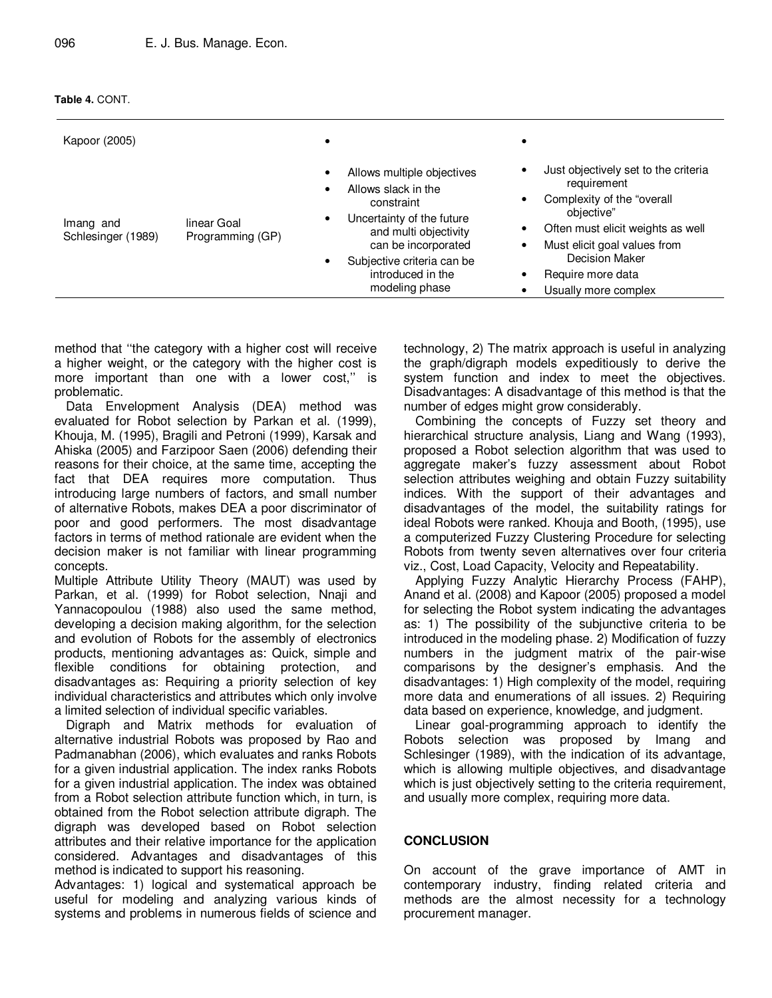| Table 4. CONT. |
|----------------|
|----------------|

| Kapoor (2005)                   |                                 |                                                                                                                                                                                                                        |                                                                                                                                                                                                                                                              |
|---------------------------------|---------------------------------|------------------------------------------------------------------------------------------------------------------------------------------------------------------------------------------------------------------------|--------------------------------------------------------------------------------------------------------------------------------------------------------------------------------------------------------------------------------------------------------------|
| Imang and<br>Schlesinger (1989) | linear Goal<br>Programming (GP) | Allows multiple objectives<br>٠<br>Allows slack in the<br>constraint<br>Uncertainty of the future<br>and multi objectivity<br>can be incorporated<br>Subjective criteria can be<br>introduced in the<br>modeling phase | Just objectively set to the criteria<br>requirement<br>Complexity of the "overall<br>objective"<br>Often must elicit weights as well<br>Must elicit goal values from<br>$\bullet$<br><b>Decision Maker</b><br>Require more data<br>٠<br>Usually more complex |

method that ''the category with a higher cost will receive a higher weight, or the category with the higher cost is more important than one with a lower cost," is problematic.

Data Envelopment Analysis (DEA) method was evaluated for Robot selection by Parkan et al. (1999), Khouja, M. (1995), Bragili and Petroni (1999), Karsak and Ahiska (2005) and Farzipoor Saen (2006) defending their reasons for their choice, at the same time, accepting the fact that DEA requires more computation. Thus introducing large numbers of factors, and small number of alternative Robots, makes DEA a poor discriminator of poor and good performers. The most disadvantage factors in terms of method rationale are evident when the decision maker is not familiar with linear programming concepts.

Multiple Attribute Utility Theory (MAUT) was used by Parkan, et al. (1999) for Robot selection, Nnaji and Yannacopoulou (1988) also used the same method, developing a decision making algorithm, for the selection and evolution of Robots for the assembly of electronics products, mentioning advantages as: Quick, simple and flexible conditions for obtaining protection, and disadvantages as: Requiring a priority selection of key individual characteristics and attributes which only involve a limited selection of individual specific variables.

Digraph and Matrix methods for evaluation of alternative industrial Robots was proposed by Rao and Padmanabhan (2006), which evaluates and ranks Robots for a given industrial application. The index ranks Robots for a given industrial application. The index was obtained from a Robot selection attribute function which, in turn, is obtained from the Robot selection attribute digraph. The digraph was developed based on Robot selection attributes and their relative importance for the application considered. Advantages and disadvantages of this method is indicated to support his reasoning.

Advantages: 1) logical and systematical approach be useful for modeling and analyzing various kinds of systems and problems in numerous fields of science and technology, 2) The matrix approach is useful in analyzing the graph/digraph models expeditiously to derive the system function and index to meet the objectives. Disadvantages: A disadvantage of this method is that the number of edges might grow considerably.

Combining the concepts of Fuzzy set theory and hierarchical structure analysis, Liang and Wang (1993), proposed a Robot selection algorithm that was used to aggregate maker's fuzzy assessment about Robot selection attributes weighing and obtain Fuzzy suitability indices. With the support of their advantages and disadvantages of the model, the suitability ratings for ideal Robots were ranked. Khouja and Booth, (1995), use a computerized Fuzzy Clustering Procedure for selecting Robots from twenty seven alternatives over four criteria viz., Cost, Load Capacity, Velocity and Repeatability.

Applying Fuzzy Analytic Hierarchy Process (FAHP), Anand et al. (2008) and Kapoor (2005) proposed a model for selecting the Robot system indicating the advantages as: 1) The possibility of the subjunctive criteria to be introduced in the modeling phase. 2) Modification of fuzzy numbers in the judgment matrix of the pair-wise comparisons by the designer's emphasis. And the disadvantages: 1) High complexity of the model, requiring more data and enumerations of all issues. 2) Requiring data based on experience, knowledge, and judgment.

Linear goal-programming approach to identify the Robots selection was proposed by Imang and Schlesinger (1989), with the indication of its advantage, which is allowing multiple objectives, and disadvantage which is just objectively setting to the criteria requirement, and usually more complex, requiring more data.

#### **CONCLUSION**

On account of the grave importance of AMT in contemporary industry, finding related criteria and methods are the almost necessity for a technology procurement manager.